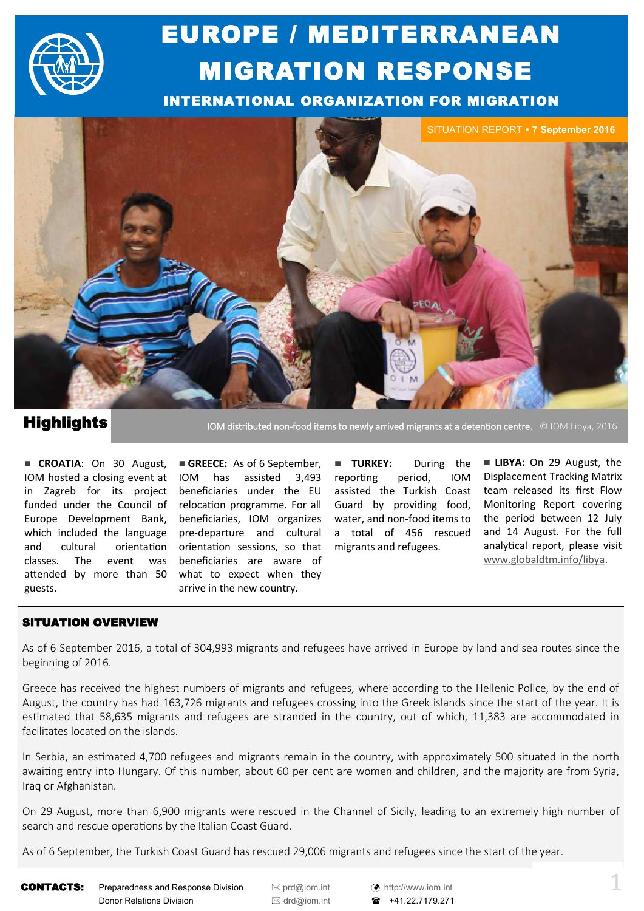

# EUROPE / MEDITERRANEAN MIGRATION RESPONSE

INTERNATIONAL ORGANIZATION FOR MIGRATION



## **Highlights**

IOM distributed non-food items to newly arrived migrants at a detention centre. © IOM Libya, 2016

funded under the Council of relocation programme. For all **CROATIA:** On 30 August, IOM hosted a closing event at in Zagreb for its project Europe Development Bank, which included the language and cultural orientation classes. The event was attended by more than 50 guests.

GREECE: As of 6 September, has assisted 3,493 beneficiaries under the EU beneficiaries, IOM organizes water, and non-food items to pre-departure and cultural orientation sessions, so that beneficiaries are aware of what to expect when they arrive in the new country.

**TURKEY:** During the reporting period, IOM assisted the Turkish Coast Guard by providing food, a total of 456 rescued migrants and refugees.

**LIBYA:** On 29 August, the Displacement Tracking Matrix team released its first Flow Monitoring Report covering the period between 12 July and 14 August. For the full analytical report, please visit [www.globaldtm.info/libya.](http://www.globaldtm.info/libya) 

### SITUATION OVERVIEW

As of 6 September 2016, a total of 304,993 migrants and refugees have arrived in Europe by land and sea routes since the beginning of 2016.

Greece has received the highest numbers of migrants and refugees, where according to the Hellenic Police, by the end of August, the country has had 163,726 migrants and refugees crossing into the Greek islands since the start of the year. It is estimated that 58,635 migrants and refugees are stranded in the country, out of which, 11,383 are accommodated in facilitates located on the islands.

In Serbia, an estimated 4,700 refugees and migrants remain in the country, with approximately 500 situated in the north awaiting entry into Hungary. Of this number, about 60 per cent are women and children, and the majority are from Syria, Iraq or Afghanistan.

On 29 August, more than 6,900 migrants were rescued in the Channel of Sicily, leading to an extremely high number of search and rescue operations by the Italian Coast Guard.

As of 6 September, the Turkish Coast Guard has rescued 29,006 migrants and refugees since the start of the year.

CONTACTS: Preparedness and Response Division <br>
■ [prd@iom.int](mailto:prd@IOM.INT) (↑ [http://www.iom.int](http://www.iom.int/) Donor Relations Division <br> **a** [drd@iom.int](mailto:DRD@IOM.INT) **a** +41.22.7179.271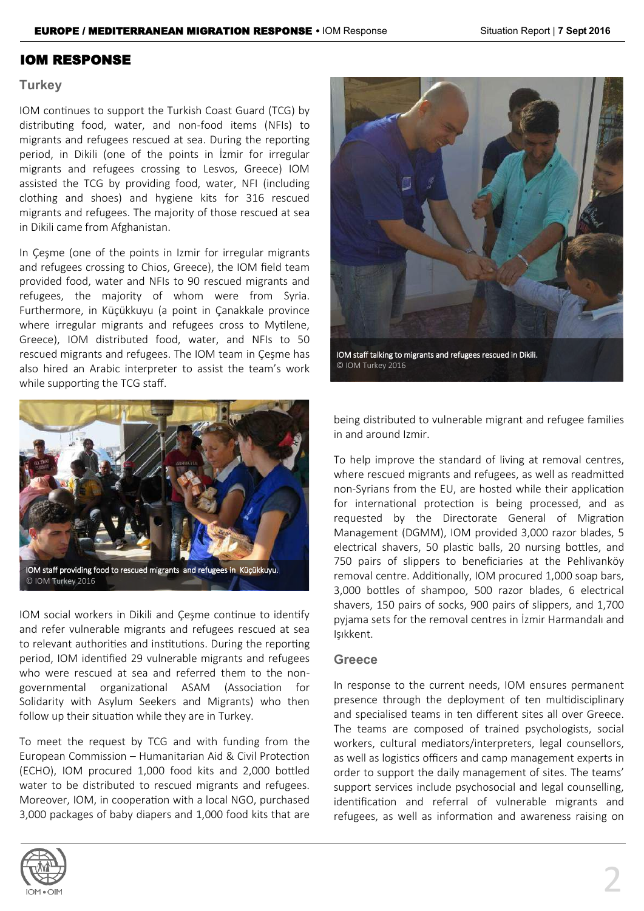### IOM RESPONSE

### **Turkey**

IOM continues to support the Turkish Coast Guard (TCG) by distributing food, water, and non-food items (NFIs) to migrants and refugees rescued at sea. During the reporting period, in Dikili (one of the points in İzmir for irregular migrants and refugees crossing to Lesvos, Greece) IOM assisted the TCG by providing food, water, NFI (including clothing and shoes) and hygiene kits for 316 rescued migrants and refugees. The majority of those rescued at sea in Dikili came from Afghanistan.

In Çeşme (one of the points in Izmir for irregular migrants and refugees crossing to Chios, Greece), the IOM field team provided food, water and NFIs to 90 rescued migrants and refugees, the majority of whom were from Syria. Furthermore, in Küçükkuyu (a point in Çanakkale province where irregular migrants and refugees cross to Mytilene, Greece), IOM distributed food, water, and NFIs to 50 rescued migrants and refugees. The IOM team in Çeşme has also hired an Arabic interpreter to assist the team's work while supporting the TCG staff.



© IOM Turkey 2016

IOM social workers in Dikili and Çeşme continue to identify and refer vulnerable migrants and refugees rescued at sea to relevant authorities and institutions. During the reporting period, IOM identified 29 vulnerable migrants and refugees who were rescued at sea and referred them to the nongovernmental organizational ASAM (Association for Solidarity with Asylum Seekers and Migrants) who then follow up their situation while they are in Turkey.

To meet the request by TCG and with funding from the European Commission – Humanitarian Aid & Civil Protection (ECHO), IOM procured 1,000 food kits and 2,000 bottled water to be distributed to rescued migrants and refugees. Moreover, IOM, in cooperation with a local NGO, purchased 3,000 packages of baby diapers and 1,000 food kits that are





being distributed to vulnerable migrant and refugee families in and around Izmir.

To help improve the standard of living at removal centres, where rescued migrants and refugees, as well as readmitted non-Syrians from the EU, are hosted while their application for international protection is being processed, and as requested by the Directorate General of Migration Management (DGMM), IOM provided 3,000 razor blades, 5 electrical shavers, 50 plastic balls, 20 nursing bottles, and 750 pairs of slippers to beneficiaries at the Pehlivanköy removal centre. Additionally, IOM procured 1,000 soap bars, 3,000 bottles of shampoo, 500 razor blades, 6 electrical shavers, 150 pairs of socks, 900 pairs of slippers, and 1,700 pyjama sets for the removal centres in İzmir Harmandalı and Işıkkent.

### **Greece**

In response to the current needs, IOM ensures permanent presence through the deployment of ten multidisciplinary and specialised teams in ten different sites all over Greece. The teams are composed of trained psychologists, social workers, cultural mediators/interpreters, legal counsellors, as well as logistics officers and camp management experts in order to support the daily management of sites. The teams' support services include psychosocial and legal counselling, identification and referral of vulnerable migrants and refugees, as well as information and awareness raising on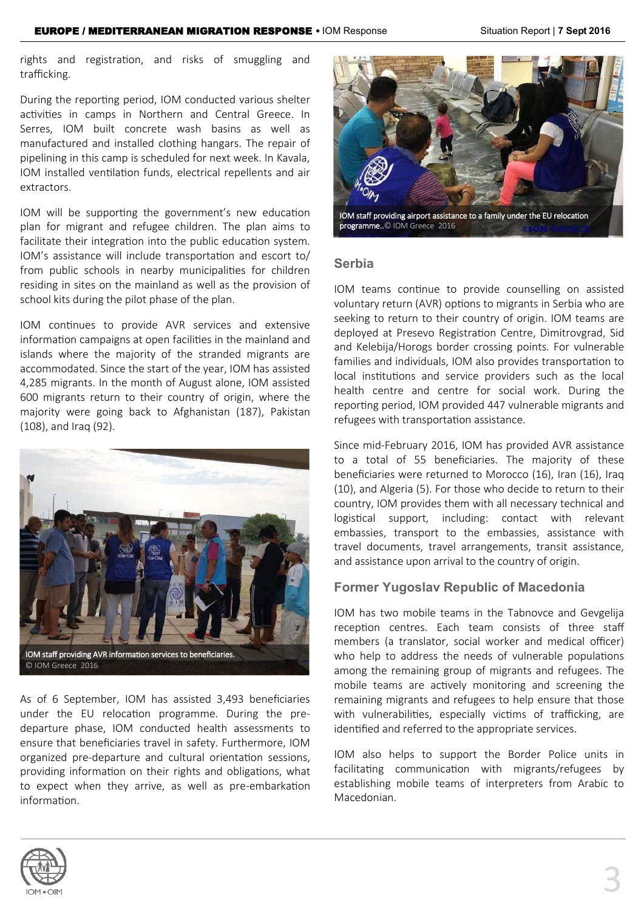rights and registration, and risks of smuggling and trafficking.

During the reporting period, IOM conducted various shelter activities in camps in Northern and Central Greece. In Serres, IOM built concrete wash basins as well as manufactured and installed clothing hangars. The repair of pipelining in this camp is scheduled for next week. In Kavala, IOM installed ventilation funds, electrical repellents and air extractors.

IOM will be supporting the government's new education plan for migrant and refugee children. The plan aims to facilitate their integration into the public education system. IOM's assistance will include transportation and escort to/ from public schools in nearby municipalities for children residing in sites on the mainland as well as the provision of school kits during the pilot phase of the plan.

IOM continues to provide AVR services and extensive information campaigns at open facilities in the mainland and islands where the majority of the stranded migrants are accommodated. Since the start of the year, IOM has assisted 4,285 migrants. In the month of August alone, IOM assisted 600 migrants return to their country of origin, where the majority were going back to Afghanistan (187), Pakistan (108), and Iraq (92).



As of 6 September, IOM has assisted 3,493 beneficiaries under the EU relocation programme. During the predeparture phase, IOM conducted health assessments to ensure that beneficiaries travel in safety. Furthermore, IOM organized pre-departure and cultural orientation sessions, providing information on their rights and obligations, what to expect when they arrive, as well as pre-embarkation information.



IOM staff providing airport assistance to a family under the EU relocation programme..© IOM Greece 2016

### **Serbia**

IOM teams continue to provide counselling on assisted voluntary return (AVR) options to migrants in Serbia who are seeking to return to their country of origin. IOM teams are deployed at Presevo Registration Centre, Dimitrovgrad, Sid and Kelebija/Horogs border crossing points. For vulnerable families and individuals, IOM also provides transportation to local institutions and service providers such as the local health centre and centre for social work. During the reporting period, IOM provided 447 vulnerable migrants and refugees with transportation assistance.

Since mid-February 2016, IOM has provided AVR assistance to a total of 55 beneficiaries. The majority of these beneficiaries were returned to Morocco (16), Iran (16), Iraq (10), and Algeria (5). For those who decide to return to their country, IOM provides them with all necessary technical and logistical support, including: contact with relevant embassies, transport to the embassies, assistance with travel documents, travel arrangements, transit assistance, and assistance upon arrival to the country of origin.

### **Former Yugoslav Republic of Macedonia**

IOM has two mobile teams in the Tabnovce and Gevgelija reception centres. Each team consists of three staff members (a translator, social worker and medical officer) who help to address the needs of vulnerable populations among the remaining group of migrants and refugees. The mobile teams are actively monitoring and screening the remaining migrants and refugees to help ensure that those with vulnerabilities, especially victims of trafficking, are identified and referred to the appropriate services.

IOM also helps to support the Border Police units in facilitating communication with migrants/refugees by establishing mobile teams of interpreters from Arabic to Macedonian.

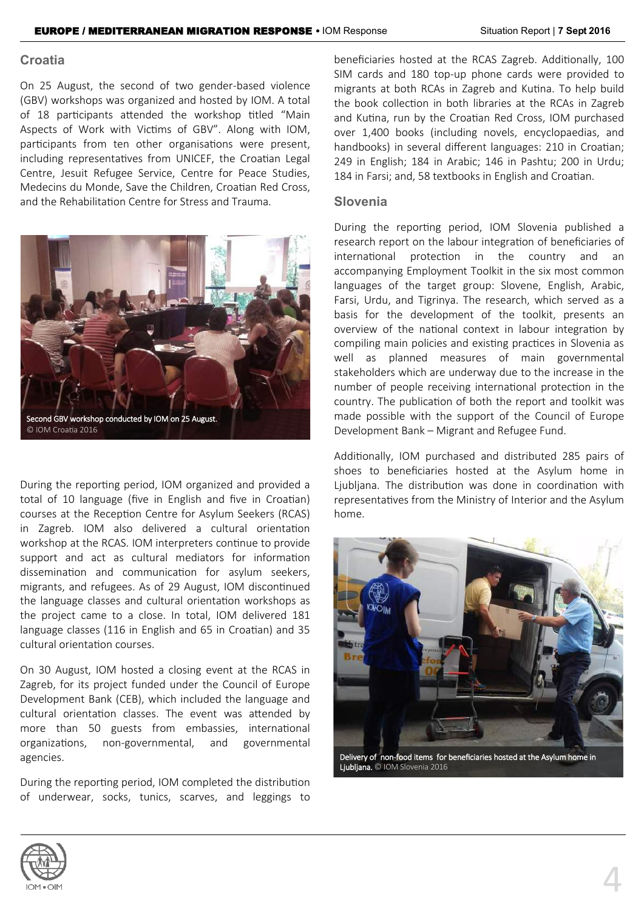### **Croatia**

 On 25 August, the second of two gender-based violence (GBV) workshops was organized and hosted by IOM. A total of 18 participants attended the workshop titled "Main Aspects of Work with Victims of GBV". Along with IOM, participants from ten other organisations were present, including representatives from UNICEF, the Croatian Legal Centre, Jesuit Refugee Service, Centre for Peace Studies, Medecins du Monde, Save the Children, Croatian Red Cross, and the Rehabilitation Centre for Stress and Trauma.



During the reporting period, IOM organized and provided a total of 10 language (five in English and five in Croatian) courses at the Reception Centre for Asylum Seekers (RCAS) in Zagreb. IOM also delivered a cultural orientation workshop at the RCAS. IOM interpreters continue to provide support and act as cultural mediators for information dissemination and communication for asylum seekers, migrants, and refugees. As of 29 August, IOM discontinued the language classes and cultural orientation workshops as the project came to a close. In total, IOM delivered 181 language classes (116 in English and 65 in Croatian) and 35 cultural orientation courses.

On 30 August, IOM hosted a closing event at the RCAS in Zagreb, for its project funded under the Council of Europe Development Bank (CEB), which included the language and cultural orientation classes. The event was attended by more than 50 guests from embassies, international organizations, non-governmental, and governmental agencies.

During the reporting period, IOM completed the distribution of underwear, socks, tunics, scarves, and leggings to beneficiaries hosted at the RCAS Zagreb. Additionally, 100 SIM cards and 180 top-up phone cards were provided to migrants at both RCAs in Zagreb and Kutina. To help build the book collection in both libraries at the RCAs in Zagreb and Kutina, run by the Croatian Red Cross, IOM purchased over 1,400 books (including novels, encyclopaedias, and handbooks) in several different languages: 210 in Croatian; 249 in English; 184 in Arabic; 146 in Pashtu; 200 in Urdu; 184 in Farsi; and, 58 textbooks in English and Croatian.

### **Slovenia**

During the reporting period, IOM Slovenia published a research report on the labour integration of beneficiaries of international protection in the country and an accompanying Employment Toolkit in the six most common languages of the target group: Slovene, English, Arabic, Farsi, Urdu, and Tigrinya. The research, which served as a basis for the development of the toolkit, presents an overview of the national context in labour integration by compiling main policies and existing practices in Slovenia as well as planned measures of main governmental stakeholders which are underway due to the increase in the number of people receiving international protection in the country. The publication of both the report and toolkit was made possible with the support of the Council of Europe Development Bank – Migrant and Refugee Fund.

Additionally, IOM purchased and distributed 285 pairs of shoes to beneficiaries hosted at the Asylum home in Ljubljana. The distribution was done in coordination with representatives from the Ministry of Interior and the Asylum home.



Delivery of non-food items for beneficiaries hosted at the Asylum home in Ljubljana. © IOM Slovenia 2016

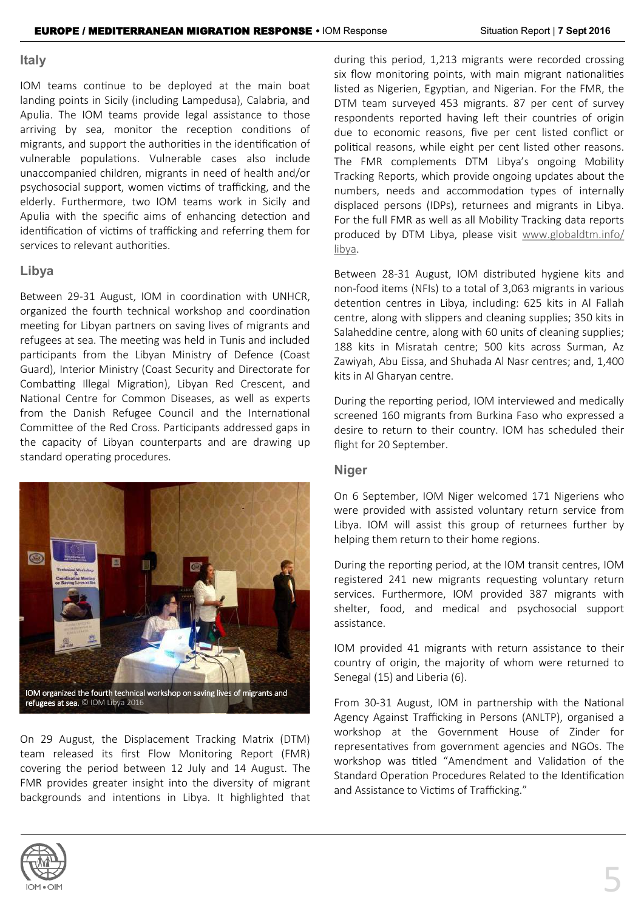### **Italy**

IOM teams continue to be deployed at the main boat landing points in Sicily (including Lampedusa), Calabria, and Apulia. The IOM teams provide legal assistance to those arriving by sea, monitor the reception conditions of migrants, and support the authorities in the identification of vulnerable populations. Vulnerable cases also include unaccompanied children, migrants in need of health and/or psychosocial support, women victims of trafficking, and the elderly. Furthermore, two IOM teams work in Sicily and Apulia with the specific aims of enhancing detection and identification of victims of trafficking and referring them for services to relevant authorities.

### **Libya**

Between 29-31 August, IOM in coordination with UNHCR, organized the fourth technical workshop and coordination meeting for Libyan partners on saving lives of migrants and refugees at sea. The meeting was held in Tunis and included participants from the Libyan Ministry of Defence (Coast Guard), Interior Ministry (Coast Security and Directorate for Combatting Illegal Migration), Libyan Red Crescent, and National Centre for Common Diseases, as well as experts from the Danish Refugee Council and the International Committee of the Red Cross. Participants addressed gaps in the capacity of Libyan counterparts and are drawing up standard operating procedures.



refugees at sea. © IOM Libya 2016

On 29 August, the Displacement Tracking Matrix (DTM) team released its first Flow Monitoring Report (FMR) covering the period between 12 July and 14 August. The FMR provides greater insight into the diversity of migrant backgrounds and intentions in Libya. It highlighted that

during this period, 1,213 migrants were recorded crossing six flow monitoring points, with main migrant nationalities listed as Nigerien, Egyptian, and Nigerian. For the FMR, the DTM team surveyed 453 migrants. 87 per cent of survey respondents reported having left their countries of origin due to economic reasons, five per cent listed conflict or political reasons, while eight per cent listed other reasons. The FMR complements DTM Libya's ongoing Mobility Tracking Reports, which provide ongoing updates about the numbers, needs and accommodation types of internally displaced persons (IDPs), returnees and migrants in Libya. For the full FMR as well as all Mobility Tracking data reports produced by DTM Libya, please visit [www.globaldtm.info/](http://www.globaldtm.info/libya) [libya.](http://www.globaldtm.info/libya)

Between 28-31 August, IOM distributed hygiene kits and non-food items (NFIs) to a total of 3,063 migrants in various detention centres in Libya, including: 625 kits in Al Fallah centre, along with slippers and cleaning supplies; 350 kits in Salaheddine centre, along with 60 units of cleaning supplies; 188 kits in Misratah centre; 500 kits across Surman, Az Zawiyah, Abu Eissa, and Shuhada Al Nasr centres; and, 1,400 kits in Al Gharyan centre.

During the reporting period, IOM interviewed and medically screened 160 migrants from Burkina Faso who expressed a desire to return to their country. IOM has scheduled their flight for 20 September.

### **Niger**

On 6 September, IOM Niger welcomed 171 Nigeriens who were provided with assisted voluntary return service from Libya. IOM will assist this group of returnees further by helping them return to their home regions.

During the reporting period, at the IOM transit centres, IOM registered 241 new migrants requesting voluntary return services. Furthermore, IOM provided 387 migrants with shelter, food, and medical and psychosocial support assistance.

IOM provided 41 migrants with return assistance to their country of origin, the majority of whom were returned to Senegal (15) and Liberia (6).

From 30-31 August, IOM in partnership with the National Agency Against Trafficking in Persons (ANLTP), organised a workshop at the Government House of Zinder for representatives from government agencies and NGOs. The workshop was titled "Amendment and Validation of the Standard Operation Procedures Related to the Identification and Assistance to Victims of Trafficking."

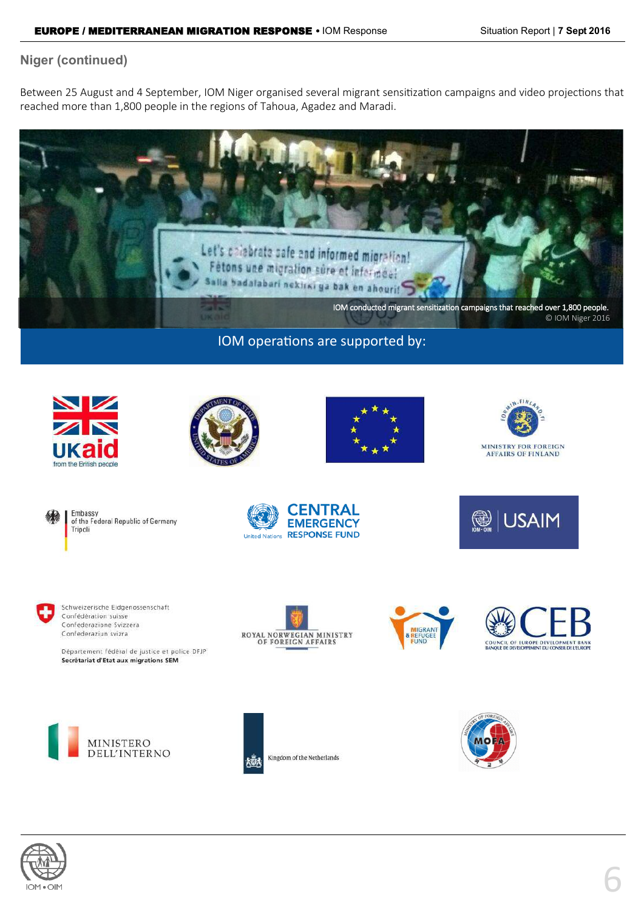### **Niger (continued)**

Between 25 August and 4 September, IOM Niger organised several migrant sensitization campaigns and video projections that reached more than 1,800 people in the regions of Tahoua, Agadez and Maradi.



### IOM operations are supported by:











of the Federal Republic of Germany







Département fédéral de justice et police DFJP Secrétariat d'Etat aux migrations SEM











Kingdom of the Netherlands



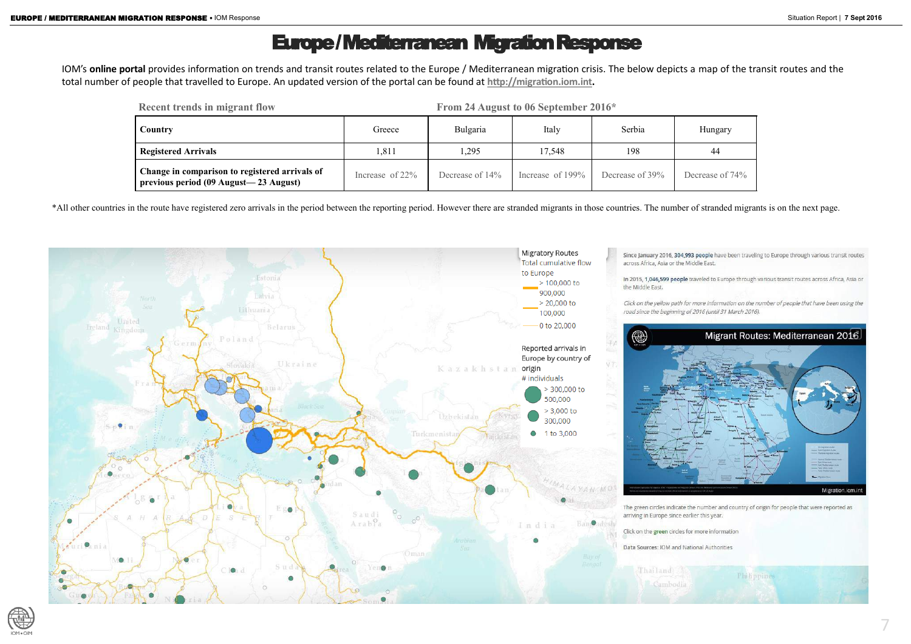# Europe / Mediterranean Migration Response

IOM's **online portal** provides information on trends and transit routes related to the Europe / Mediterranean migration crisis. The below depicts a map of the transit routes and the total number of people that travelled to Europe. An updated version of the portal can be found at **[http://migration.iom.int.](http://migration.iom.int)** 

\*All other countries in the route have registered zero arrivals in the period between the reporting period. However there are stranded migrants in those countries. The number of stranded migrants is on the next page.





| <b>Recent trends in migrant flow</b>                                                    |                    | From 24 August to 06 September 2016* |                     |                 |             |
|-----------------------------------------------------------------------------------------|--------------------|--------------------------------------|---------------------|-----------------|-------------|
| Country                                                                                 | Greece             | Bulgaria                             | Italy               | Serbia          | Hungary     |
| <b>Registered Arrivals</b>                                                              | 1,811              | ,295                                 | 17,548              | 198             | 44          |
| Change in comparison to registered arrivals of<br>previous period (09 August—23 August) | Increase of $22\%$ | Decrease of 14%                      | Increase of $199\%$ | Decrease of 39% | Decrease of |